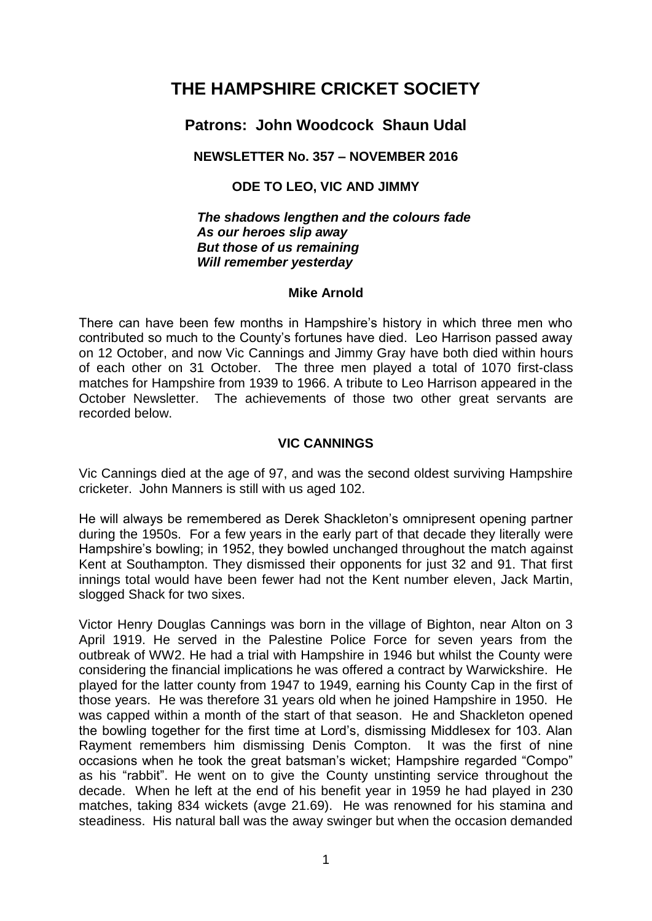# **THE HAMPSHIRE CRICKET SOCIETY**

## **Patrons: John Woodcock Shaun Udal**

## **NEWSLETTER No. 357 – NOVEMBER 2016**

## **ODE TO LEO, VIC AND JIMMY**

*The shadows lengthen and the colours fade As our heroes slip away But those of us remaining Will remember yesterday* 

## **Mike Arnold**

There can have been few months in Hampshire's history in which three men who contributed so much to the County's fortunes have died. Leo Harrison passed away on 12 October, and now Vic Cannings and Jimmy Gray have both died within hours of each other on 31 October. The three men played a total of 1070 first-class matches for Hampshire from 1939 to 1966. A tribute to Leo Harrison appeared in the October Newsletter. The achievements of those two other great servants are recorded below.

## **VIC CANNINGS**

Vic Cannings died at the age of 97, and was the second oldest surviving Hampshire cricketer. John Manners is still with us aged 102.

He will always be remembered as Derek Shackleton's omnipresent opening partner during the 1950s. For a few years in the early part of that decade they literally were Hampshire's bowling; in 1952, they bowled unchanged throughout the match against Kent at Southampton. They dismissed their opponents for just 32 and 91. That first innings total would have been fewer had not the Kent number eleven, Jack Martin, slogged Shack for two sixes.

Victor Henry Douglas Cannings was born in the village of Bighton, near Alton on 3 April 1919. He served in the Palestine Police Force for seven years from the outbreak of WW2. He had a trial with Hampshire in 1946 but whilst the County were considering the financial implications he was offered a contract by Warwickshire. He played for the latter county from 1947 to 1949, earning his County Cap in the first of those years. He was therefore 31 years old when he joined Hampshire in 1950. He was capped within a month of the start of that season. He and Shackleton opened the bowling together for the first time at Lord's, dismissing Middlesex for 103. Alan Rayment remembers him dismissing Denis Compton. It was the first of nine occasions when he took the great batsman's wicket; Hampshire regarded "Compo" as his "rabbit". He went on to give the County unstinting service throughout the decade. When he left at the end of his benefit year in 1959 he had played in 230 matches, taking 834 wickets (avge 21.69). He was renowned for his stamina and steadiness. His natural ball was the away swinger but when the occasion demanded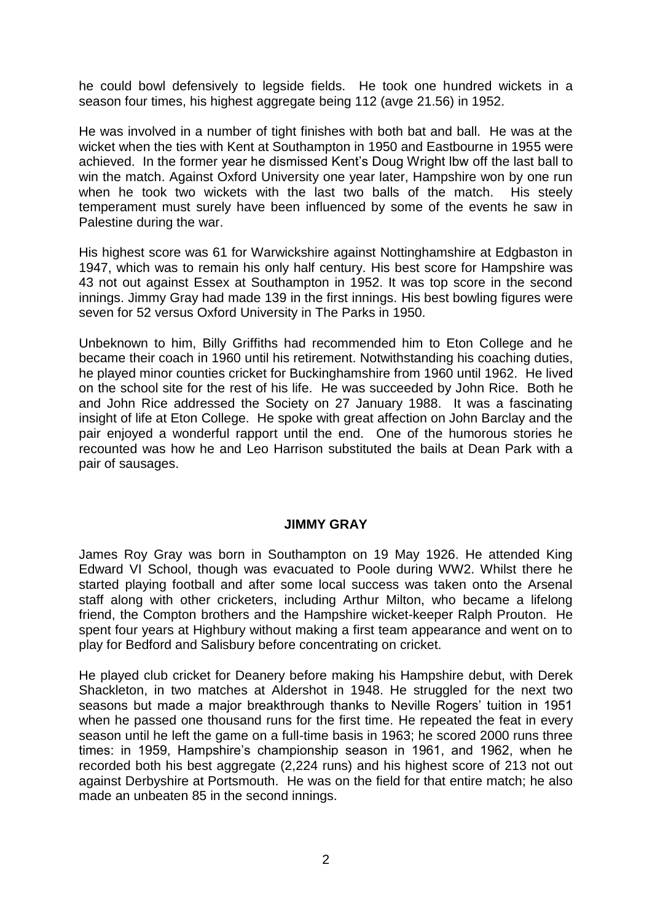he could bowl defensively to legside fields. He took one hundred wickets in a season four times, his highest aggregate being 112 (avge 21.56) in 1952.

He was involved in a number of tight finishes with both bat and ball. He was at the wicket when the ties with Kent at Southampton in 1950 and Eastbourne in 1955 were achieved. In the former year he dismissed Kent's Doug Wright lbw off the last ball to win the match. Against Oxford University one year later, Hampshire won by one run when he took two wickets with the last two balls of the match. His steely temperament must surely have been influenced by some of the events he saw in Palestine during the war.

His highest score was 61 for Warwickshire against Nottinghamshire at Edgbaston in 1947, which was to remain his only half century. His best score for Hampshire was 43 not out against Essex at Southampton in 1952. It was top score in the second innings. Jimmy Gray had made 139 in the first innings. His best bowling figures were seven for 52 versus Oxford University in The Parks in 1950.

Unbeknown to him, Billy Griffiths had recommended him to Eton College and he became their coach in 1960 until his retirement. Notwithstanding his coaching duties, he played minor counties cricket for Buckinghamshire from 1960 until 1962. He lived on the school site for the rest of his life. He was succeeded by John Rice. Both he and John Rice addressed the Society on 27 January 1988. It was a fascinating insight of life at Eton College. He spoke with great affection on John Barclay and the pair enjoyed a wonderful rapport until the end. One of the humorous stories he recounted was how he and Leo Harrison substituted the bails at Dean Park with a pair of sausages.

#### **JIMMY GRAY**

James Roy Gray was born in Southampton on 19 May 1926. He attended King Edward VI School, though was evacuated to Poole during WW2. Whilst there he started playing football and after some local success was taken onto the Arsenal staff along with other cricketers, including Arthur Milton, who became a lifelong friend, the Compton brothers and the Hampshire wicket-keeper Ralph Prouton. He spent four years at Highbury without making a first team appearance and went on to play for Bedford and Salisbury before concentrating on cricket.

He played club cricket for Deanery before making his Hampshire debut, with Derek Shackleton, in two matches at Aldershot in 1948. He struggled for the next two seasons but made a major breakthrough thanks to Neville Rogers' tuition in 1951 when he passed one thousand runs for the first time. He repeated the feat in every season until he left the game on a full-time basis in 1963; he scored 2000 runs three times: in 1959, Hampshire's championship season in 1961, and 1962, when he recorded both his best aggregate (2,224 runs) and his highest score of 213 not out against Derbyshire at Portsmouth. He was on the field for that entire match; he also made an unbeaten 85 in the second innings.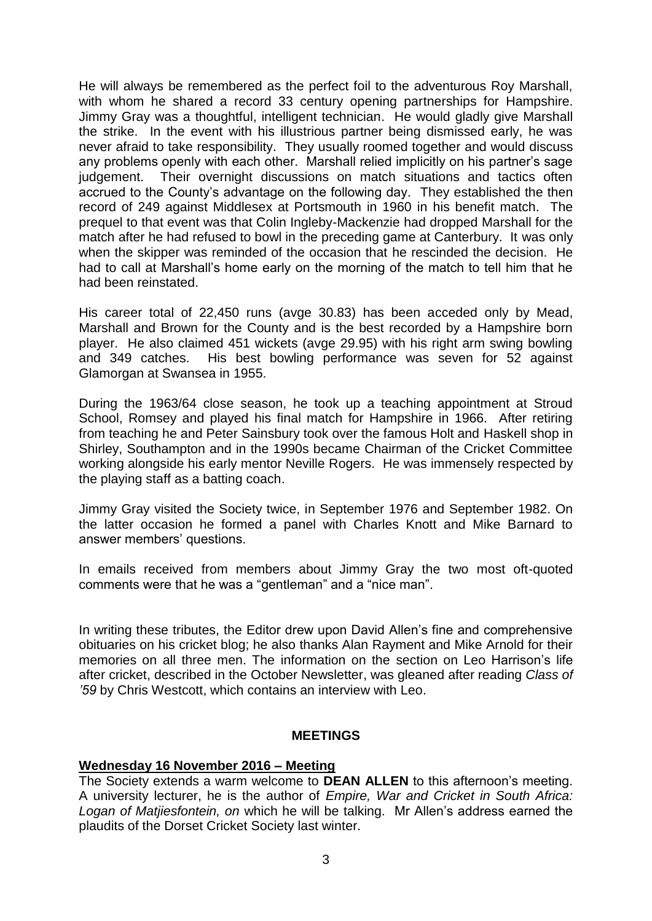He will always be remembered as the perfect foil to the adventurous Roy Marshall, with whom he shared a record 33 century opening partnerships for Hampshire. Jimmy Gray was a thoughtful, intelligent technician. He would gladly give Marshall the strike. In the event with his illustrious partner being dismissed early, he was never afraid to take responsibility. They usually roomed together and would discuss any problems openly with each other. Marshall relied implicitly on his partner's sage judgement. Their overnight discussions on match situations and tactics often accrued to the County's advantage on the following day. They established the then record of 249 against Middlesex at Portsmouth in 1960 in his benefit match. The prequel to that event was that Colin Ingleby-Mackenzie had dropped Marshall for the match after he had refused to bowl in the preceding game at Canterbury. It was only when the skipper was reminded of the occasion that he rescinded the decision. He had to call at Marshall's home early on the morning of the match to tell him that he had been reinstated.

His career total of 22,450 runs (avge 30.83) has been acceded only by Mead, Marshall and Brown for the County and is the best recorded by a Hampshire born player. He also claimed 451 wickets (avge 29.95) with his right arm swing bowling and 349 catches. His best bowling performance was seven for 52 against Glamorgan at Swansea in 1955.

During the 1963/64 close season, he took up a teaching appointment at Stroud School, Romsey and played his final match for Hampshire in 1966. After retiring from teaching he and Peter Sainsbury took over the famous Holt and Haskell shop in Shirley, Southampton and in the 1990s became Chairman of the Cricket Committee working alongside his early mentor Neville Rogers. He was immensely respected by the playing staff as a batting coach.

Jimmy Gray visited the Society twice, in September 1976 and September 1982. On the latter occasion he formed a panel with Charles Knott and Mike Barnard to answer members' questions.

In emails received from members about Jimmy Gray the two most oft-quoted comments were that he was a "gentleman" and a "nice man".

In writing these tributes, the Editor drew upon David Allen's fine and comprehensive obituaries on his cricket blog; he also thanks Alan Rayment and Mike Arnold for their memories on all three men. The information on the section on Leo Harrison's life after cricket, described in the October Newsletter, was gleaned after reading *Class of '59* by Chris Westcott, which contains an interview with Leo.

#### **MEETINGS**

#### **Wednesday 16 November 2016 – Meeting**

The Society extends a warm welcome to **DEAN ALLEN** to this afternoon's meeting. A university lecturer, he is the author of *Empire, War and Cricket in South Africa: Logan of Matjiesfontein, on* which he will be talking. Mr Allen's address earned the plaudits of the Dorset Cricket Society last winter.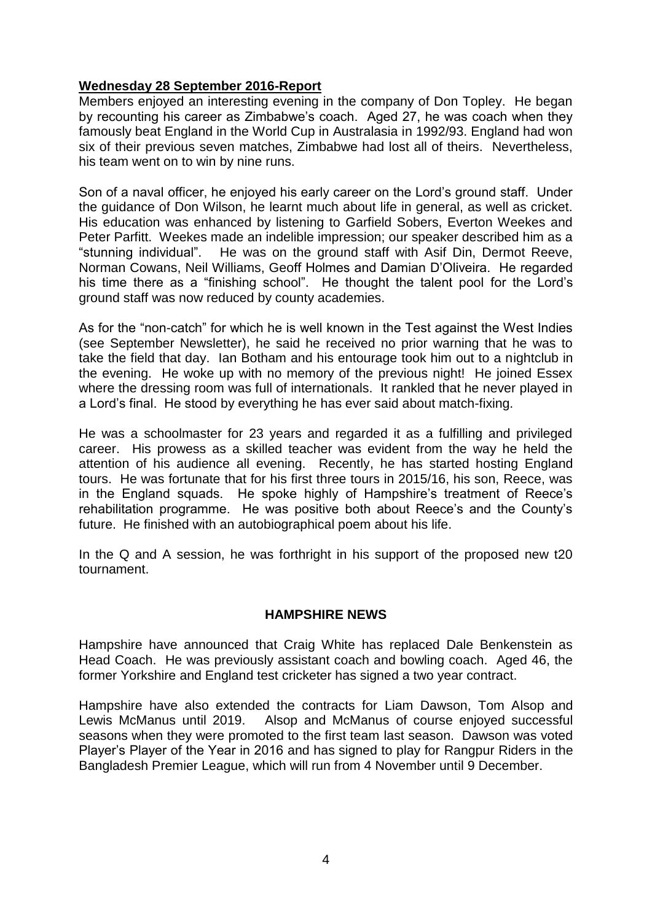## **Wednesday 28 September 2016-Report**

Members enjoyed an interesting evening in the company of Don Topley. He began by recounting his career as Zimbabwe's coach. Aged 27, he was coach when they famously beat England in the World Cup in Australasia in 1992/93. England had won six of their previous seven matches, Zimbabwe had lost all of theirs. Nevertheless, his team went on to win by nine runs.

Son of a naval officer, he enjoyed his early career on the Lord's ground staff. Under the guidance of Don Wilson, he learnt much about life in general, as well as cricket. His education was enhanced by listening to Garfield Sobers, Everton Weekes and Peter Parfitt. Weekes made an indelible impression; our speaker described him as a "stunning individual". He was on the ground staff with Asif Din, Dermot Reeve, Norman Cowans, Neil Williams, Geoff Holmes and Damian D'Oliveira. He regarded his time there as a "finishing school". He thought the talent pool for the Lord's ground staff was now reduced by county academies.

As for the "non-catch" for which he is well known in the Test against the West Indies (see September Newsletter), he said he received no prior warning that he was to take the field that day. Ian Botham and his entourage took him out to a nightclub in the evening. He woke up with no memory of the previous night! He joined Essex where the dressing room was full of internationals. It rankled that he never played in a Lord's final. He stood by everything he has ever said about match-fixing.

He was a schoolmaster for 23 years and regarded it as a fulfilling and privileged career. His prowess as a skilled teacher was evident from the way he held the attention of his audience all evening. Recently, he has started hosting England tours. He was fortunate that for his first three tours in 2015/16, his son, Reece, was in the England squads. He spoke highly of Hampshire's treatment of Reece's rehabilitation programme. He was positive both about Reece's and the County's future. He finished with an autobiographical poem about his life.

In the Q and A session, he was forthright in his support of the proposed new t20 tournament.

## **HAMPSHIRE NEWS**

Hampshire have announced that Craig White has replaced Dale Benkenstein as Head Coach. He was previously assistant coach and bowling coach. Aged 46, the former Yorkshire and England test cricketer has signed a two year contract.

Hampshire have also extended the contracts for Liam Dawson, Tom Alsop and Lewis McManus until 2019. Alsop and McManus of course enjoyed successful seasons when they were promoted to the first team last season. Dawson was voted Player's Player of the Year in 2016 and has signed to play for Rangpur Riders in the Bangladesh Premier League, which will run from 4 November until 9 December.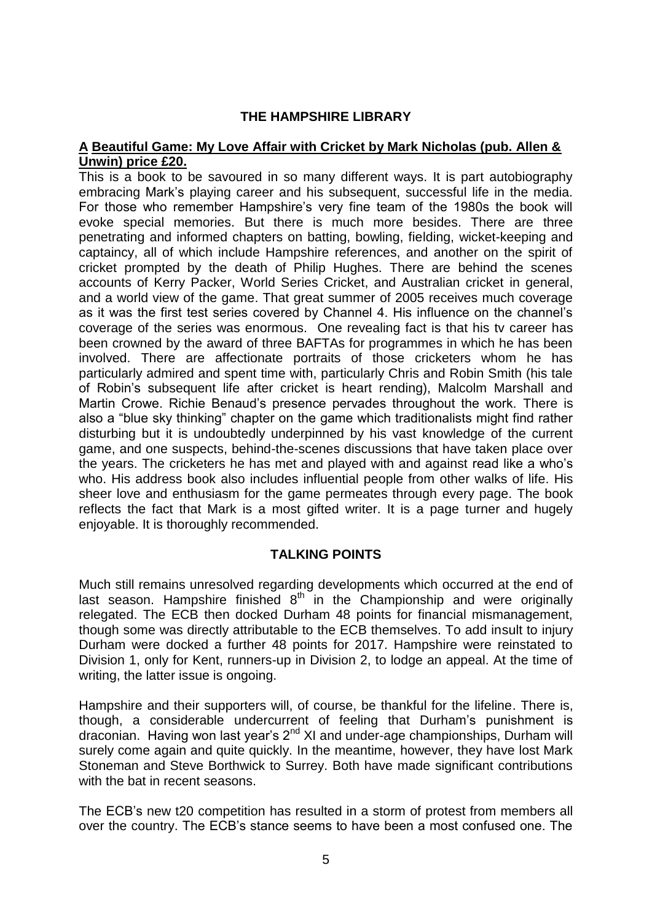## **THE HAMPSHIRE LIBRARY**

## **A Beautiful Game: My Love Affair with Cricket by Mark Nicholas (pub. Allen & Unwin) price £20.**

This is a book to be savoured in so many different ways. It is part autobiography embracing Mark's playing career and his subsequent, successful life in the media. For those who remember Hampshire's very fine team of the 1980s the book will evoke special memories. But there is much more besides. There are three penetrating and informed chapters on batting, bowling, fielding, wicket-keeping and captaincy, all of which include Hampshire references, and another on the spirit of cricket prompted by the death of Philip Hughes. There are behind the scenes accounts of Kerry Packer, World Series Cricket, and Australian cricket in general, and a world view of the game. That great summer of 2005 receives much coverage as it was the first test series covered by Channel 4. His influence on the channel's coverage of the series was enormous. One revealing fact is that his tv career has been crowned by the award of three BAFTAs for programmes in which he has been involved. There are affectionate portraits of those cricketers whom he has particularly admired and spent time with, particularly Chris and Robin Smith (his tale of Robin's subsequent life after cricket is heart rending), Malcolm Marshall and Martin Crowe. Richie Benaud's presence pervades throughout the work. There is also a "blue sky thinking" chapter on the game which traditionalists might find rather disturbing but it is undoubtedly underpinned by his vast knowledge of the current game, and one suspects, behind-the-scenes discussions that have taken place over the years. The cricketers he has met and played with and against read like a who's who. His address book also includes influential people from other walks of life. His sheer love and enthusiasm for the game permeates through every page. The book reflects the fact that Mark is a most gifted writer. It is a page turner and hugely enjoyable. It is thoroughly recommended.

## **TALKING POINTS**

Much still remains unresolved regarding developments which occurred at the end of last season. Hampshire finished  $8<sup>th</sup>$  in the Championship and were originally relegated. The ECB then docked Durham 48 points for financial mismanagement, though some was directly attributable to the ECB themselves. To add insult to injury Durham were docked a further 48 points for 2017. Hampshire were reinstated to Division 1, only for Kent, runners-up in Division 2, to lodge an appeal. At the time of writing, the latter issue is ongoing.

Hampshire and their supporters will, of course, be thankful for the lifeline. There is, though, a considerable undercurrent of feeling that Durham's punishment is draconian. Having won last year's  $2^{nd}$  XI and under-age championships, Durham will surely come again and quite quickly. In the meantime, however, they have lost Mark Stoneman and Steve Borthwick to Surrey. Both have made significant contributions with the bat in recent seasons.

The ECB's new t20 competition has resulted in a storm of protest from members all over the country. The ECB's stance seems to have been a most confused one. The